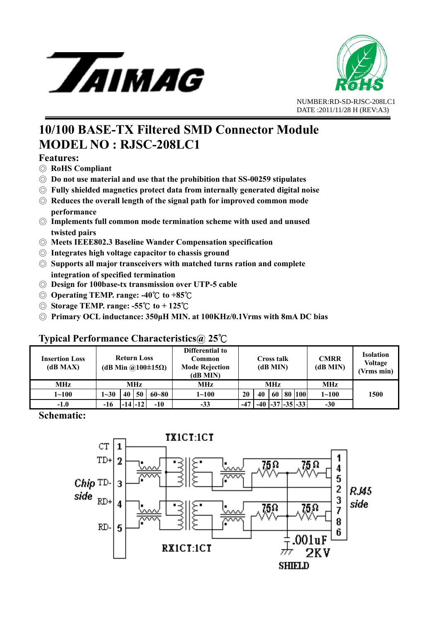



# **10/100 BASE-TX Filtered SMD Connector Module MODEL NO : RJSC-208LC1**

#### **Features:**

- ◎ **RoHS Compliant**
- ◎ **Do not use material and use that the prohibition that SS-00259 stipulates**
- ◎ **Fully shielded magnetics protect data from internally generated digital noise**
- ◎ **Reduces the overall length of the signal path for improved common mode performance**
- ◎ **Implements full common mode termination scheme with used and unused twisted pairs**
- ◎ **Meets IEEE802.3 Baseline Wander Compensation specification**
- ◎ **Integrates high voltage capacitor to chassis ground**
- ◎ **Supports all major transceivers with matched turns ration and complete integration of specified termination**
- ◎ **Design for 100base-tx transmission over UTP-5 cable**
- © **Operating TEMP. range: -40°C** to +85°C
- © **Storage TEMP. range: -55°C** to + 125°C
- ◎ **Primary OCL inductance: 350μH MIN. at 100KHz/0.1Vrms with 8mA DC bias**

#### **Typical Performance Characteristics@ 25**℃

| <b>Insertion Loss</b><br>(dB MAX) | <b>Return Loss</b><br>(dB Min @100±15 $\Omega$ ) |    |             |           | Differential to<br>Common<br><b>Mode Rejection</b><br>(dB MIN) | Cross talk<br>(dB MIN) |    |    |  | <b>CMRR</b><br>(dB MIN) | <b>Isolation</b><br><b>Voltage</b><br>(Vrms min) |      |
|-----------------------------------|--------------------------------------------------|----|-------------|-----------|----------------------------------------------------------------|------------------------|----|----|--|-------------------------|--------------------------------------------------|------|
| <b>MHz</b>                        | MHz                                              |    |             |           | MHz                                                            | <b>MHz</b>             |    |    |  |                         | <b>MHz</b>                                       |      |
| $1 - 100$                         | $1 - 30$                                         | 40 | 50          | $60 - 80$ | $1 \!\!\sim\!\! 100$                                           | 20                     | 40 | 60 |  | 80   100                | $1 - 100$                                        | 1500 |
| $-1.0$                            | -16                                              |    | $-14$ $-12$ | $-10$     | $-33$                                                          | $-47$                  |    |    |  | $-40$ $-37$ $-35$ $-33$ | $-30$                                            |      |

**Schematic:**

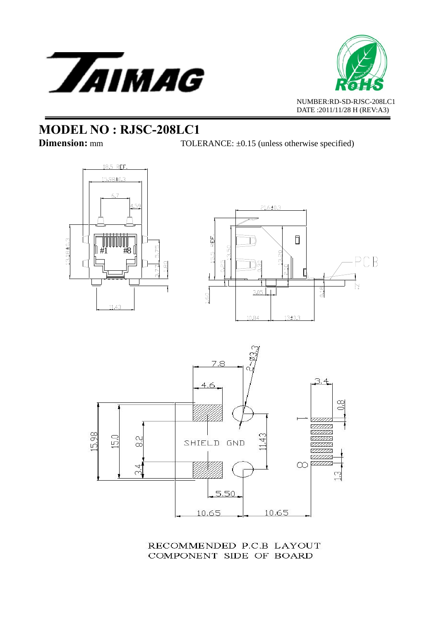



**Dimension:** mm TOLERANCE: ±0.15 (unless otherwise specified)







RECOMMENDED P.C.B LAYOUT COMPONENT SIDE OF BOARD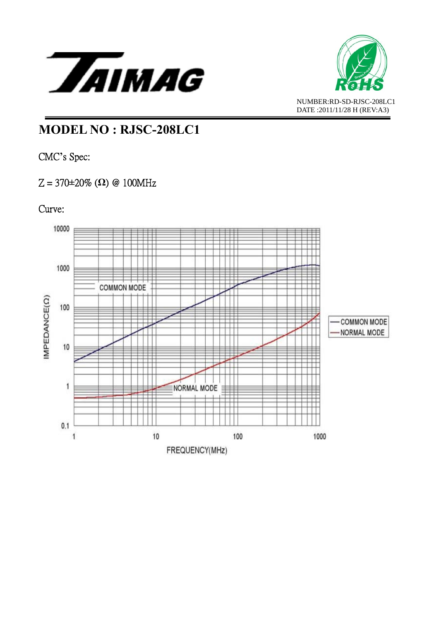



CMC**'**s Spec:

### Z = 370**±**20% (**Ω**) @ 100MHz

### Curve:

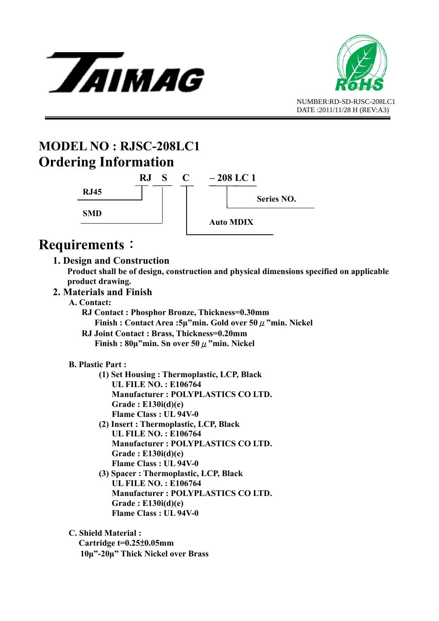



# **MODEL NO : RJSC-208LC1 Ordering Information**



# **Requirements**:

#### **1. Design and Construction**

 **Product shall be of design, construction and physical dimensions specified on applicable product drawing.** 

#### **2. Materials and Finish**

- **A. Contact:** 
	- **RJ Contact : Phosphor Bronze, Thickness=0.30mm Finish : Contact Area :5μ"min. Gold over 50**μ**"min. Nickel**
	- **RJ Joint Contact : Brass, Thickness=0.20mm Finish : 80μ"min. Sn over 50**μ**"min. Nickel**

#### **B. Plastic Part :**

- **(1) Set Housing : Thermoplastic, LCP, Black UL FILE NO. : E106764 Manufacturer : POLYPLASTICS CO LTD. Grade : E130i(d)(e) Flame Class : UL 94V-0**
- **(2) Insert : Thermoplastic, LCP, Black UL FILE NO. : E106764 Manufacturer : POLYPLASTICS CO LTD. Grade : E130i(d)(e) Flame Class : UL 94V-0**
- **(3) Spacer : Thermoplastic, LCP, Black UL FILE NO. : E106764 Manufacturer : POLYPLASTICS CO LTD. Grade : E130i(d)(e) Flame Class : UL 94V-0**

 **C. Shield Material : Cartridge t=0.25**±**0.05mm 10μ"-20μ" Thick Nickel over Brass**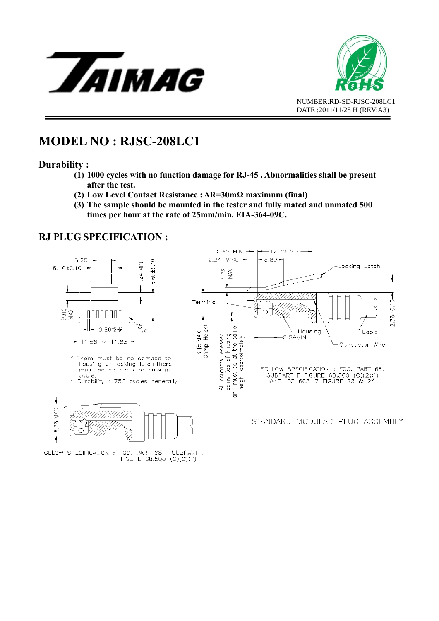



#### **Durability :**

- **(1) 1000 cycles with no function damage for RJ-45 . Abnormalities shall be present after the test.**
- **(2) Low Level Contact Resistance : ΔR=30mΩ maximum (final)**
- **(3) The sample should be mounted in the tester and fully mated and unmated 500 times per hour at the rate of 25mm/min. EIA-364-09C.**

#### **RJ PLUG SPECIFICATION :**

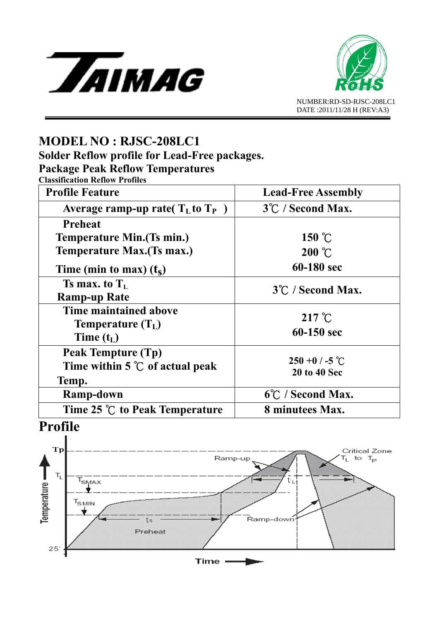



**Solder Reflow profile for Lead-Free packages.** 

**Package Peak Reflow Temperatures** 

**Classification Reflow Profiles** 

| <b>Profile Feature</b>                                                | <b>Lead-Free Assembly</b>                |  |  |  |  |  |
|-----------------------------------------------------------------------|------------------------------------------|--|--|--|--|--|
| Average ramp-up rate( $T_{L}$ to $T_{P}$ )                            | 3°C / Second Max.                        |  |  |  |  |  |
| <b>Preheat</b>                                                        |                                          |  |  |  |  |  |
| <b>Temperature Min. (Ts min.)</b>                                     | 150 $\degree$ C                          |  |  |  |  |  |
| <b>Temperature Max. (Ts max.)</b>                                     | $200\text{ °C}$                          |  |  |  |  |  |
| Time (min to max) $(t_s)$                                             | 60-180 sec                               |  |  |  |  |  |
| Ts max. to $T_L$<br><b>Ramp-up Rate</b>                               | 3°C / Second Max.                        |  |  |  |  |  |
| Time maintained above<br><b>Temperature</b> $(T_L)$<br>Time $(t_L)$   | $217^{\circ}$ C<br>60-150 sec            |  |  |  |  |  |
| Peak Tempture (Tp)<br>Time within $5^{\circ}$ of actual peak<br>Temp. | $250 + 0$ / -5 °C<br><b>20 to 40 Sec</b> |  |  |  |  |  |
| Ramp-down                                                             | 6°C / Second Max.                        |  |  |  |  |  |
| Time 25 ℃ to Peak Temperature                                         | 8 minutees Max.                          |  |  |  |  |  |

# **Profile**